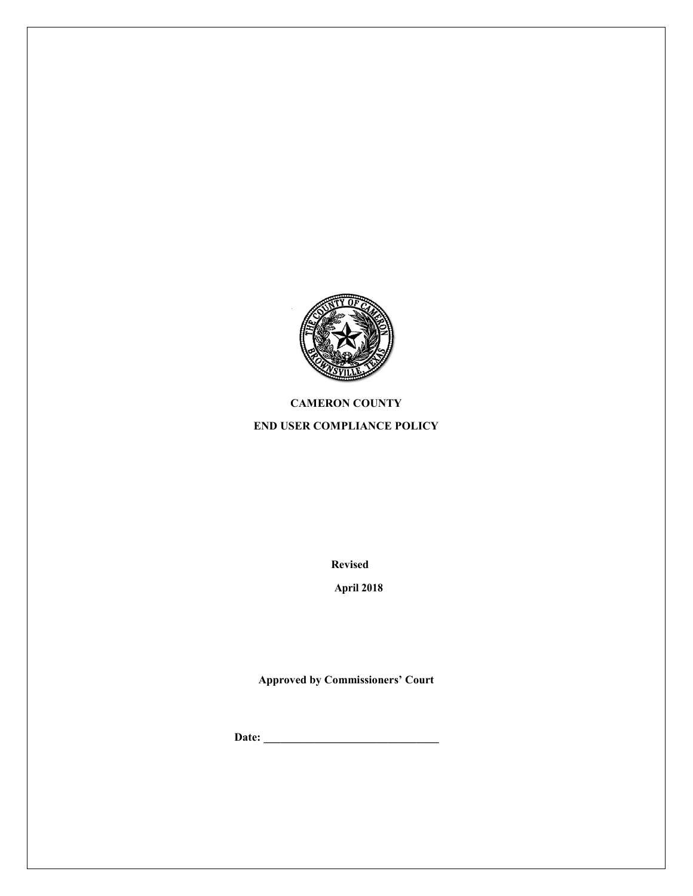

#### **CAMERON COUNTY**

#### **END USER COMPLIANCE POLICY**

**Revised**

**April 2018**

**Approved by Commissioners' Court**

**Date: \_\_\_\_\_\_\_\_\_\_\_\_\_\_\_\_\_\_\_\_\_\_\_\_\_\_\_\_\_\_\_**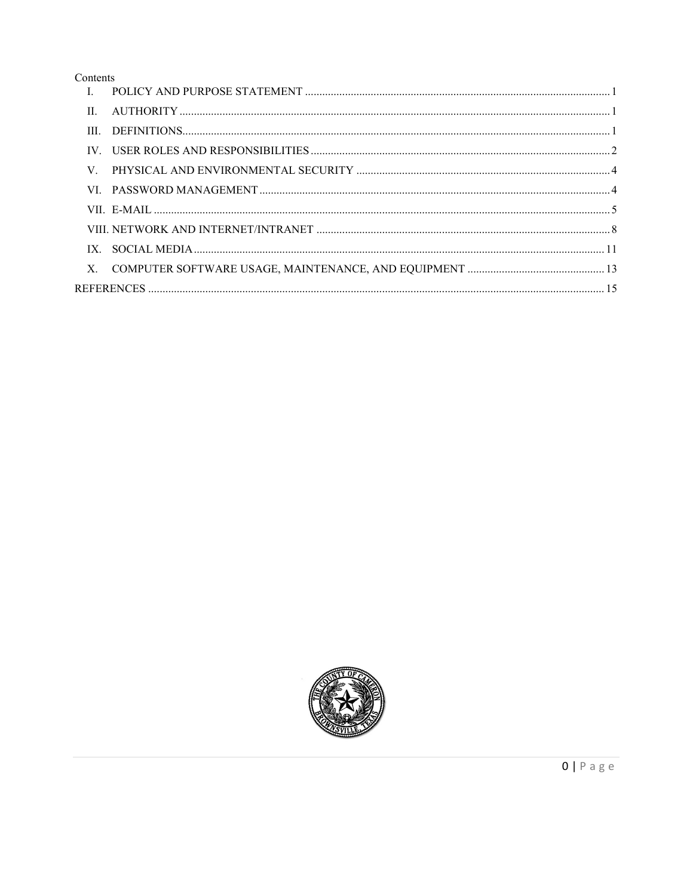#### Contents

| II.  |  |
|------|--|
| III. |  |
|      |  |
|      |  |
|      |  |
|      |  |
|      |  |
|      |  |
|      |  |
|      |  |



 $O | P a g e$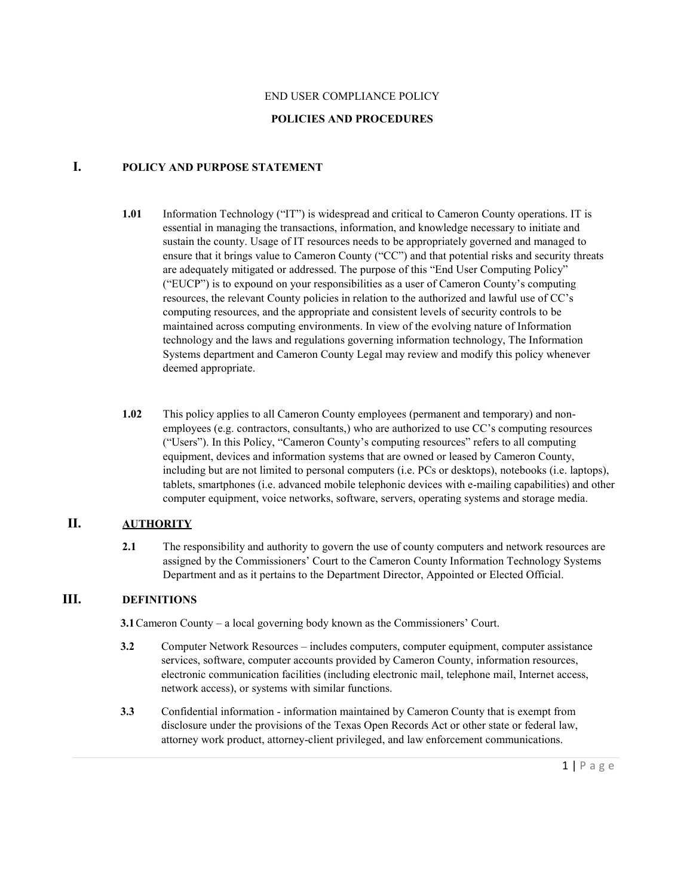#### END USER COMPLIANCE POLICY

#### **POLICIES AND PROCEDURES**

#### <span id="page-2-0"></span>**I. POLICY AND PURPOSE STATEMENT**

- **1.01** Information Technology ("IT") is widespread and critical to Cameron County operations. IT is essential in managing the transactions, information, and knowledge necessary to initiate and sustain the county. Usage of IT resources needs to be appropriately governed and managed to ensure that it brings value to Cameron County ("CC") and that potential risks and security threats are adequately mitigated or addressed. The purpose of this "End User Computing Policy" ("EUCP") is to expound on your responsibilities as a user of Cameron County's computing resources, the relevant County policies in relation to the authorized and lawful use of CC's computing resources, and the appropriate and consistent levels of security controls to be maintained across computing environments. In view of the evolving nature of Information technology and the laws and regulations governing information technology, The Information Systems department and Cameron County Legal may review and modify this policy whenever deemed appropriate.
- **1.02** This policy applies to all Cameron County employees (permanent and temporary) and nonemployees (e.g. contractors, consultants,) who are authorized to use CC's computing resources ("Users"). In this Policy, "Cameron County's computing resources" refers to all computing equipment, devices and information systems that are owned or leased by Cameron County, including but are not limited to personal computers (i.e. PCs or desktops), notebooks (i.e. laptops), tablets, smartphones (i.e. advanced mobile telephonic devices with e-mailing capabilities) and other computer equipment, voice networks, software, servers, operating systems and storage media.

#### <span id="page-2-1"></span>**II. AUTHORITY**

**2.1** The responsibility and authority to govern the use of county computers and network resources are assigned by the Commissioners' Court to the Cameron County Information Technology Systems Department and as it pertains to the Department Director, Appointed or Elected Official.

#### <span id="page-2-2"></span>**III. DEFINITIONS**

**3.1**Cameron County – a local governing body known as the Commissioners' Court.

- **3.2** Computer Network Resources includes computers, computer equipment, computer assistance services, software, computer accounts provided by Cameron County, information resources, electronic communication facilities (including electronic mail, telephone mail, Internet access, network access), or systems with similar functions.
- **3.3** Confidential information information maintained by Cameron County that is exempt from disclosure under the provisions of the Texas Open Records Act or other state or federal law, attorney work product, attorney-client privileged, and law enforcement communications.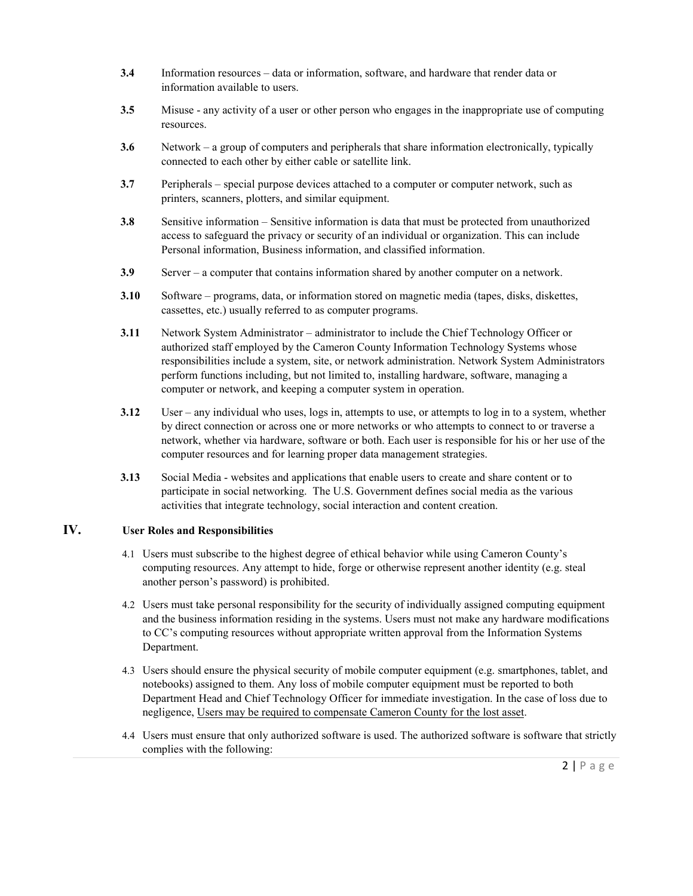- **3.4** Information resources data or information, software, and hardware that render data or information available to users.
- **3.5** Misuse any activity of a user or other person who engages in the inappropriate use of computing resources.
- **3.6** Network a group of computers and peripherals that share information electronically, typically connected to each other by either cable or satellite link.
- **3.7** Peripherals special purpose devices attached to a computer or computer network, such as printers, scanners, plotters, and similar equipment.
- **3.8** Sensitive information Sensitive information is data that must be protected from unauthorized access to safeguard the privacy or security of an individual or organization. This can include Personal information, Business information, and classified information.
- **3.9** Server a computer that contains information shared by another computer on a network.
- **3.10** Software programs, data, or information stored on magnetic media (tapes, disks, diskettes, cassettes, etc.) usually referred to as computer programs.
- **3.11** Network System Administrator administrator to include the Chief Technology Officer or authorized staff employed by the Cameron County Information Technology Systems whose responsibilities include a system, site, or network administration. Network System Administrators perform functions including, but not limited to, installing hardware, software, managing a computer or network, and keeping a computer system in operation.
- **3.12** User any individual who uses, logs in, attempts to use, or attempts to log in to a system, whether by direct connection or across one or more networks or who attempts to connect to or traverse a network, whether via hardware, software or both. Each user is responsible for his or her use of the computer resources and for learning proper data management strategies.
- **3.13** Social Media websites and applications that enable users to create and share content or to participate in social networking. The U.S. Government defines social media as the various activities that integrate technology, social interaction and content creation.

#### <span id="page-3-0"></span>**IV. User Roles and Responsibilities**

- 4.1 Users must subscribe to the highest degree of ethical behavior while using Cameron County's computing resources. Any attempt to hide, forge or otherwise represent another identity (e.g. steal another person's password) is prohibited.
- 4.2 Users must take personal responsibility for the security of individually assigned computing equipment and the business information residing in the systems. Users must not make any hardware modifications to CC's computing resources without appropriate written approval from the Information Systems Department.
- 4.3 Users should ensure the physical security of mobile computer equipment (e.g. smartphones, tablet, and notebooks) assigned to them. Any loss of mobile computer equipment must be reported to both Department Head and Chief Technology Officer for immediate investigation. In the case of loss due to negligence, Users may be required to compensate Cameron County for the lost asset.
- 4.4 Users must ensure that only authorized software is used. The authorized software is software that strictly complies with the following: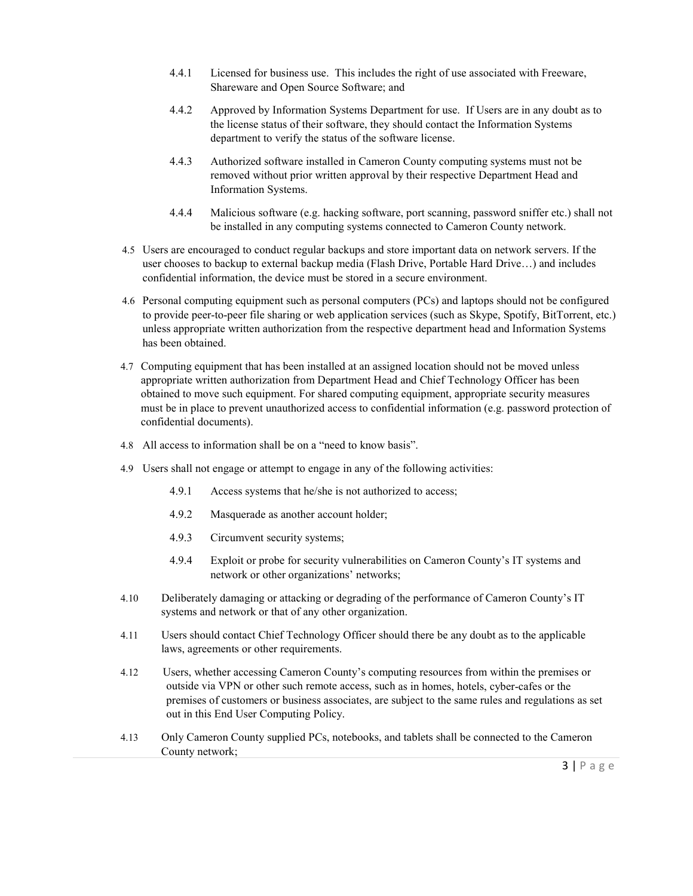- 4.4.1 Licensed for business use. This includes the right of use associated with Freeware, Shareware and Open Source Software; and
- 4.4.2 Approved by Information Systems Department for use. If Users are in any doubt as to the license status of their software, they should contact the Information Systems department to verify the status of the software license.
- 4.4.3 Authorized software installed in Cameron County computing systems must not be removed without prior written approval by their respective Department Head and Information Systems.
- 4.4.4 Malicious software (e.g. hacking software, port scanning, password sniffer etc.) shall not be installed in any computing systems connected to Cameron County network.
- 4.5 Users are encouraged to conduct regular backups and store important data on network servers. If the user chooses to backup to external backup media (Flash Drive, Portable Hard Drive…) and includes confidential information, the device must be stored in a secure environment.
- 4.6 Personal computing equipment such as personal computers (PCs) and laptops should not be configured to provide peer-to-peer file sharing or web application services (such as Skype, Spotify, BitTorrent, etc.) unless appropriate written authorization from the respective department head and Information Systems has been obtained.
- 4.7 Computing equipment that has been installed at an assigned location should not be moved unless appropriate written authorization from Department Head and Chief Technology Officer has been obtained to move such equipment. For shared computing equipment, appropriate security measures must be in place to prevent unauthorized access to confidential information (e.g. password protection of confidential documents).
- 4.8 All access to information shall be on a "need to know basis".
- 4.9 Users shall not engage or attempt to engage in any of the following activities:
	- 4.9.1 Access systems that he/she is not authorized to access;
	- 4.9.2 Masquerade as another account holder;
	- 4.9.3 Circumvent security systems;
	- 4.9.4 Exploit or probe for security vulnerabilities on Cameron County's IT systems and network or other organizations' networks;
- 4.10 Deliberately damaging or attacking or degrading of the performance of Cameron County's IT systems and network or that of any other organization.
- 4.11 Users should contact Chief Technology Officer should there be any doubt as to the applicable laws, agreements or other requirements.
- 4.12 Users, whether accessing Cameron County's computing resources from within the premises or outside via VPN or other such remote access, such as in homes, hotels, cyber-cafes or the premises of customers or business associates, are subject to the same rules and regulations as set out in this End User Computing Policy.
- 4.13 Only Cameron County supplied PCs, notebooks, and tablets shall be connected to the Cameron County network;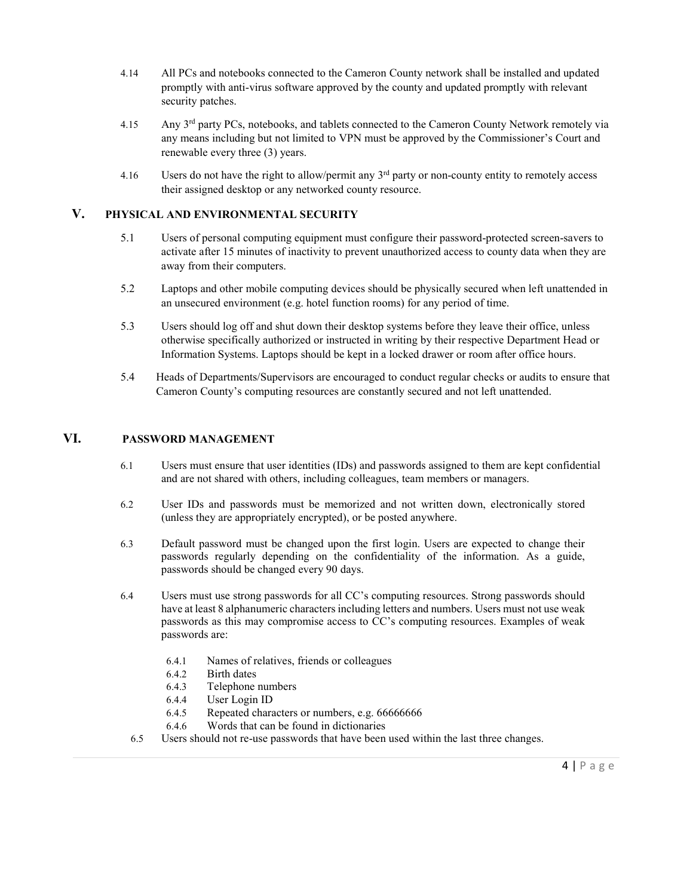- 4.14 All PCs and notebooks connected to the Cameron County network shall be installed and updated promptly with anti-virus software approved by the county and updated promptly with relevant security patches.
- 4.15 Any 3<sup>rd</sup> party PCs, notebooks, and tablets connected to the Cameron County Network remotely via any means including but not limited to VPN must be approved by the Commissioner's Court and renewable every three (3) years.
- 4.16 Users do not have the right to allow/permit any  $3<sup>rd</sup>$  party or non-county entity to remotely access their assigned desktop or any networked county resource.

#### <span id="page-5-0"></span>**V. PHYSICAL AND ENVIRONMENTAL SECURITY**

- 5.1 Users of personal computing equipment must configure their password-protected screen-savers to activate after 15 minutes of inactivity to prevent unauthorized access to county data when they are away from their computers.
- 5.2 Laptops and other mobile computing devices should be physically secured when left unattended in an unsecured environment (e.g. hotel function rooms) for any period of time.
- 5.3 Users should log off and shut down their desktop systems before they leave their office, unless otherwise specifically authorized or instructed in writing by their respective Department Head or Information Systems. Laptops should be kept in a locked drawer or room after office hours.
- 5.4 Heads of Departments/Supervisors are encouraged to conduct regular checks or audits to ensure that Cameron County's computing resources are constantly secured and not left unattended.

#### <span id="page-5-1"></span>**VI. PASSWORD MANAGEMENT**

- 6.1 Users must ensure that user identities (IDs) and passwords assigned to them are kept confidential and are not shared with others, including colleagues, team members or managers.
- 6.2 User IDs and passwords must be memorized and not written down, electronically stored (unless they are appropriately encrypted), or be posted anywhere.
- 6.3 Default password must be changed upon the first login. Users are expected to change their passwords regularly depending on the confidentiality of the information. As a guide, passwords should be changed every 90 days.
- 6.4 Users must use strong passwords for all CC's computing resources. Strong passwords should have at least 8 alphanumeric characters including letters and numbers. Users must not use weak passwords as this may compromise access to CC's computing resources. Examples of weak passwords are:
	- 6.4.1 Names of relatives, friends or colleagues<br>6.4.2 Birth dates
	- Birth dates
	- 6.4.3 Telephone numbers
	- 6.4.4 User Login ID
	- 6.4.5 Repeated characters or numbers, e.g. 66666666
	- 6.4.6 Words that can be found in dictionaries
	- 6.5 Users should not re-use passwords that have been used within the last three changes.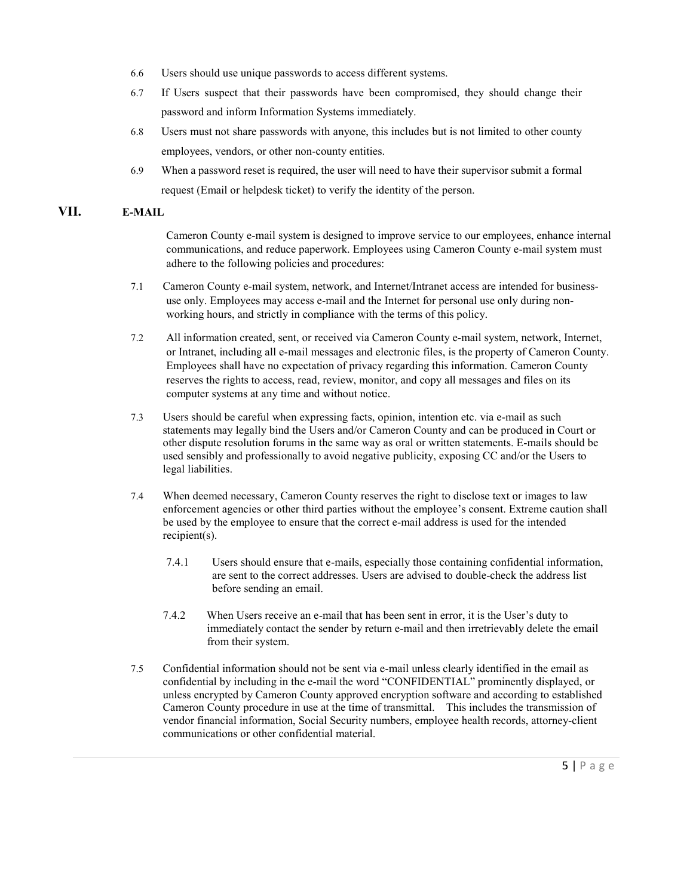- 6.6 Users should use unique passwords to access different systems.
- 6.7 If Users suspect that their passwords have been compromised, they should change their password and inform Information Systems immediately.
- 6.8 Users must not share passwords with anyone, this includes but is not limited to other county employees, vendors, or other non-county entities.
- 6.9 When a password reset is required, the user will need to have their supervisor submit a formal request (Email or helpdesk ticket) to verify the identity of the person.

#### <span id="page-6-0"></span>**VII. E-MAIL**

Cameron County e-mail system is designed to improve service to our employees, enhance internal communications, and reduce paperwork. Employees using Cameron County e-mail system must adhere to the following policies and procedures:

- 7.1 Cameron County e-mail system, network, and Internet/Intranet access are intended for businessuse only. Employees may access e-mail and the Internet for personal use only during nonworking hours, and strictly in compliance with the terms of this policy.
- 7.2 All information created, sent, or received via Cameron County e-mail system, network, Internet, or Intranet, including all e-mail messages and electronic files, is the property of Cameron County. Employees shall have no expectation of privacy regarding this information. Cameron County reserves the rights to access, read, review, monitor, and copy all messages and files on its computer systems at any time and without notice.
- 7.3 Users should be careful when expressing facts, opinion, intention etc. via e-mail as such statements may legally bind the Users and/or Cameron County and can be produced in Court or other dispute resolution forums in the same way as oral or written statements. E-mails should be used sensibly and professionally to avoid negative publicity, exposing CC and/or the Users to legal liabilities.
- 7.4 When deemed necessary, Cameron County reserves the right to disclose text or images to law enforcement agencies or other third parties without the employee's consent. Extreme caution shall be used by the employee to ensure that the correct e-mail address is used for the intended recipient(s).
	- 7.4.1 Users should ensure that e-mails, especially those containing confidential information, are sent to the correct addresses. Users are advised to double-check the address list before sending an email.
	- 7.4.2 When Users receive an e-mail that has been sent in error, it is the User's duty to immediately contact the sender by return e-mail and then irretrievably delete the email from their system.
- 7.5 Confidential information should not be sent via e-mail unless clearly identified in the email as confidential by including in the e-mail the word "CONFIDENTIAL" prominently displayed, or unless encrypted by Cameron County approved encryption software and according to established Cameron County procedure in use at the time of transmittal. This includes the transmission of vendor financial information, Social Security numbers, employee health records, attorney-client communications or other confidential material.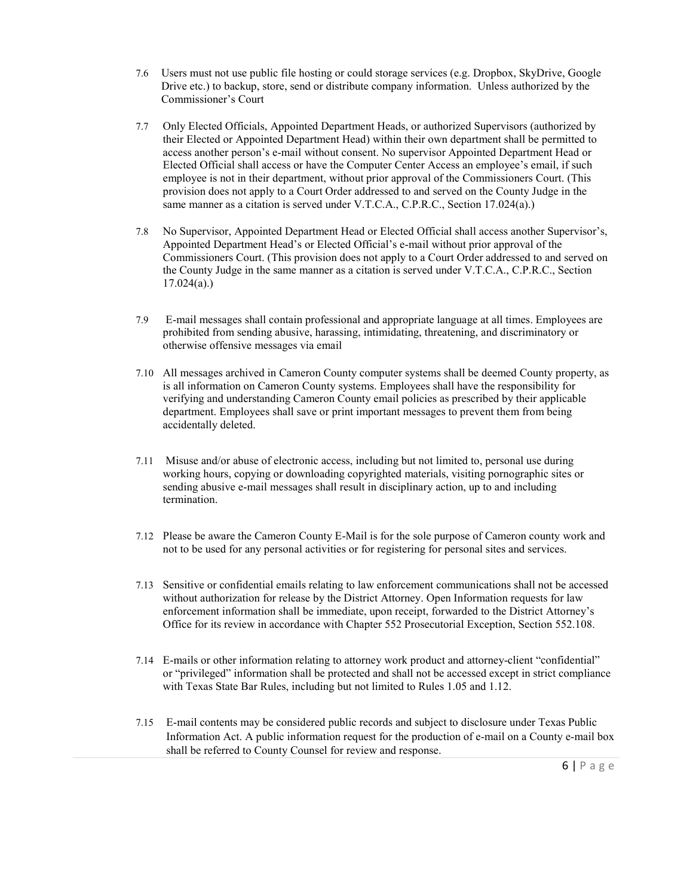- 7.6 Users must not use public file hosting or could storage services (e.g. Dropbox, SkyDrive, Google Drive etc.) to backup, store, send or distribute company information. Unless authorized by the Commissioner's Court
- 7.7 Only Elected Officials, Appointed Department Heads, or authorized Supervisors (authorized by their Elected or Appointed Department Head) within their own department shall be permitted to access another person's e-mail without consent. No supervisor Appointed Department Head or Elected Official shall access or have the Computer Center Access an employee's email, if such employee is not in their department, without prior approval of the Commissioners Court. (This provision does not apply to a Court Order addressed to and served on the County Judge in the same manner as a citation is served under V.T.C.A., C.P.R.C., Section 17.024(a).)
- 7.8 No Supervisor, Appointed Department Head or Elected Official shall access another Supervisor's, Appointed Department Head's or Elected Official's e-mail without prior approval of the Commissioners Court. (This provision does not apply to a Court Order addressed to and served on the County Judge in the same manner as a citation is served under V.T.C.A., C.P.R.C., Section  $17.024(a)$ .)
- 7.9 E-mail messages shall contain professional and appropriate language at all times. Employees are prohibited from sending abusive, harassing, intimidating, threatening, and discriminatory or otherwise offensive messages via email
- 7.10 All messages archived in Cameron County computer systems shall be deemed County property, as is all information on Cameron County systems. Employees shall have the responsibility for verifying and understanding Cameron County email policies as prescribed by their applicable department. Employees shall save or print important messages to prevent them from being accidentally deleted.
- 7.11 Misuse and/or abuse of electronic access, including but not limited to, personal use during working hours, copying or downloading copyrighted materials, visiting pornographic sites or sending abusive e-mail messages shall result in disciplinary action, up to and including termination.
- 7.12 Please be aware the Cameron County E-Mail is for the sole purpose of Cameron county work and not to be used for any personal activities or for registering for personal sites and services.
- 7.13 Sensitive or confidential emails relating to law enforcement communications shall not be accessed without authorization for release by the District Attorney. Open Information requests for law enforcement information shall be immediate, upon receipt, forwarded to the District Attorney's Office for its review in accordance with Chapter 552 Prosecutorial Exception, Section 552.108.
- 7.14 E-mails or other information relating to attorney work product and attorney-client "confidential" or "privileged" information shall be protected and shall not be accessed except in strict compliance with Texas State Bar Rules, including but not limited to Rules 1.05 and 1.12.
- 7.15 E-mail contents may be considered public records and subject to disclosure under Texas Public Information Act. A public information request for the production of e-mail on a County e-mail box shall be referred to County Counsel for review and response.

6 | Page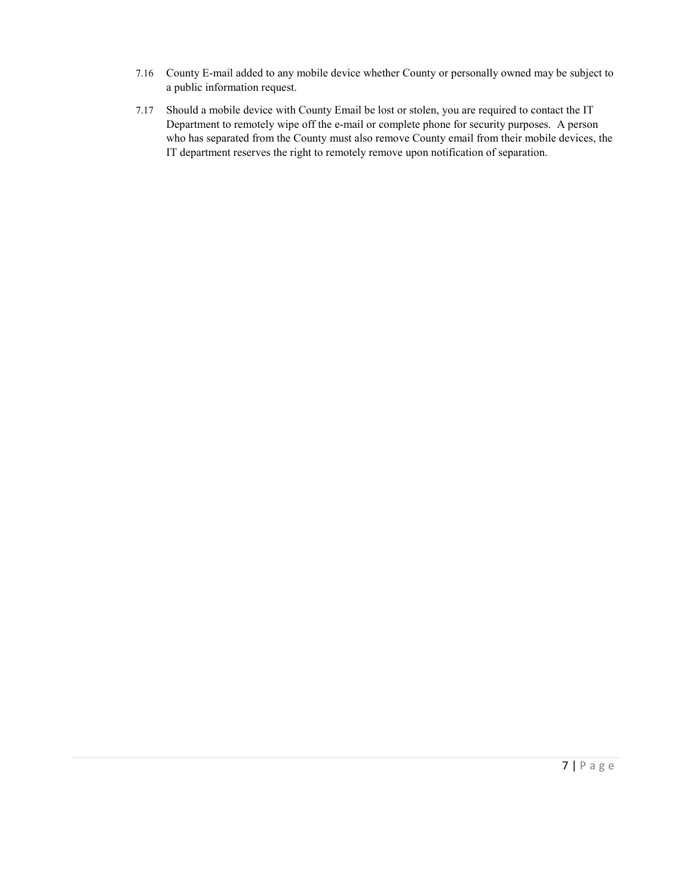- 7.16 County E-mail added to any mobile device whether County or personally owned may be subject to a public information request.
- 7.17 Should a mobile device with County Email be lost or stolen, you are required to contact the IT Department to remotely wipe off the e-mail or complete phone for security purposes. A person who has separated from the County must also remove County email from their mobile devices, the IT department reserves the right to remotely remove upon notification of separation.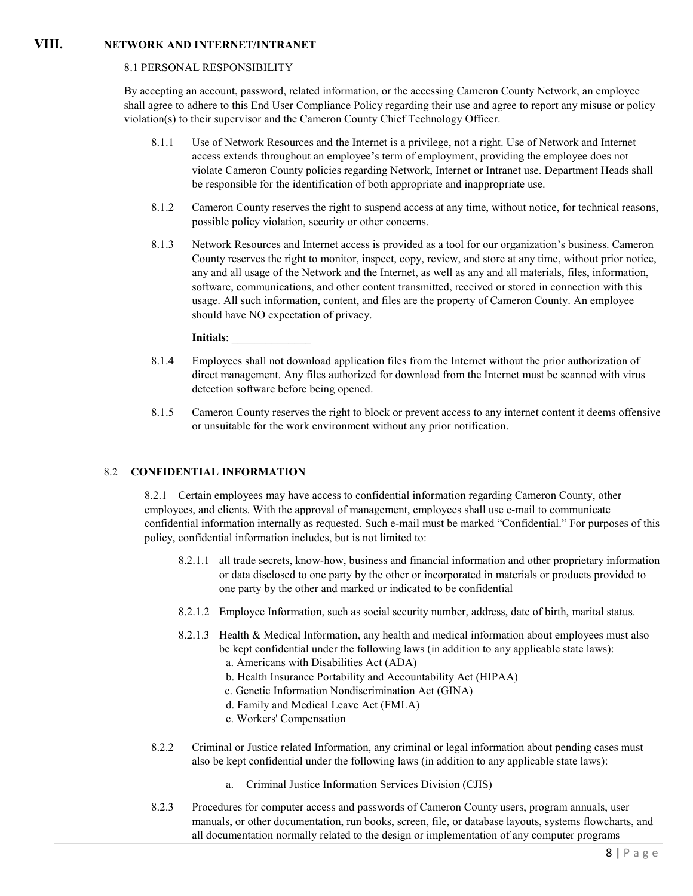#### <span id="page-9-0"></span>**VIII. NETWORK AND INTERNET/INTRANET**

#### 8.1 PERSONAL RESPONSIBILITY

By accepting an account, password, related information, or the accessing Cameron County Network, an employee shall agree to adhere to this End User Compliance Policy regarding their use and agree to report any misuse or policy violation(s) to their supervisor and the Cameron County Chief Technology Officer.

- 8.1.1 Use of Network Resources and the Internet is a privilege, not a right. Use of Network and Internet access extends throughout an employee's term of employment, providing the employee does not violate Cameron County policies regarding Network, Internet or Intranet use. Department Heads shall be responsible for the identification of both appropriate and inappropriate use.
- 8.1.2 Cameron County reserves the right to suspend access at any time, without notice, for technical reasons, possible policy violation, security or other concerns.
- 8.1.3 Network Resources and Internet access is provided as a tool for our organization's business. Cameron County reserves the right to monitor, inspect, copy, review, and store at any time, without prior notice, any and all usage of the Network and the Internet, as well as any and all materials, files, information, software, communications, and other content transmitted, received or stored in connection with this usage. All such information, content, and files are the property of Cameron County. An employee should have **NO** expectation of privacy.

**Initials**:

- 8.1.4 Employees shall not download application files from the Internet without the prior authorization of direct management. Any files authorized for download from the Internet must be scanned with virus detection software before being opened.
- 8.1.5 Cameron County reserves the right to block or prevent access to any internet content it deems offensive or unsuitable for the work environment without any prior notification.

#### 8.2 **CONFIDENTIAL INFORMATION**

8.2.1 Certain employees may have access to confidential information regarding Cameron County, other employees, and clients. With the approval of management, employees shall use e-mail to communicate confidential information internally as requested. Such e-mail must be marked "Confidential." For purposes of this policy, confidential information includes, but is not limited to:

- 8.2.1.1 all trade secrets, know-how, business and financial information and other proprietary information or data disclosed to one party by the other or incorporated in materials or products provided to one party by the other and marked or indicated to be confidential
- 8.2.1.2 Employee Information, such as social security number, address, date of birth, marital status.
- 8.2.1.3 Health & Medical Information, any health and medical information about employees must also be kept confidential under the following laws (in addition to any applicable state laws): a. Americans with Disabilities Act (ADA)
	- b. Health Insurance Portability and Accountability Act (HIPAA)
	- c. Genetic Information Nondiscrimination Act (GINA)
	- d. Family and Medical Leave Act (FMLA)
	- e. Workers' Compensation
- 8.2.2 Criminal or Justice related Information, any criminal or legal information about pending cases must also be kept confidential under the following laws (in addition to any applicable state laws):
	- a. Criminal Justice Information Services Division (CJIS)
- 8.2.3 Procedures for computer access and passwords of Cameron County users, program annuals, user manuals, or other documentation, run books, screen, file, or database layouts, systems flowcharts, and all documentation normally related to the design or implementation of any computer programs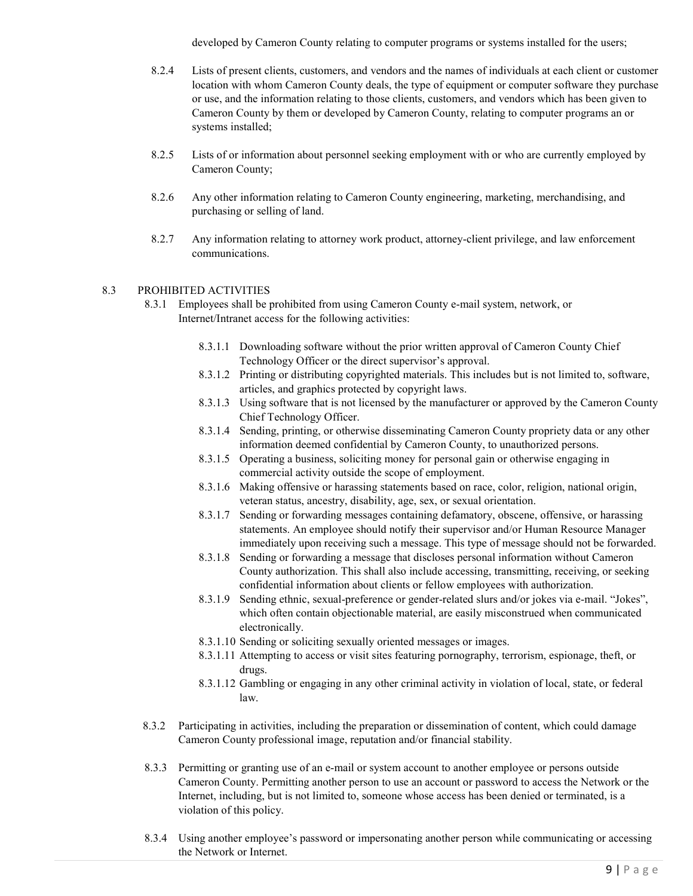developed by Cameron County relating to computer programs or systems installed for the users;

- 8.2.4 Lists of present clients, customers, and vendors and the names of individuals at each client or customer location with whom Cameron County deals, the type of equipment or computer software they purchase or use, and the information relating to those clients, customers, and vendors which has been given to Cameron County by them or developed by Cameron County, relating to computer programs an or systems installed;
- 8.2.5 Lists of or information about personnel seeking employment with or who are currently employed by Cameron County;
- 8.2.6 Any other information relating to Cameron County engineering, marketing, merchandising, and purchasing or selling of land.
- 8.2.7 Any information relating to attorney work product, attorney-client privilege, and law enforcement communications.

#### 8.3 PROHIBITED ACTIVITIES

- 8.3.1 Employees shall be prohibited from using Cameron County e-mail system, network, or Internet/Intranet access for the following activities:
	- 8.3.1.1 Downloading software without the prior written approval of Cameron County Chief Technology Officer or the direct supervisor's approval.
	- 8.3.1.2 Printing or distributing copyrighted materials. This includes but is not limited to, software, articles, and graphics protected by copyright laws.
	- 8.3.1.3 Using software that is not licensed by the manufacturer or approved by the Cameron County Chief Technology Officer.
	- 8.3.1.4 Sending, printing, or otherwise disseminating Cameron County propriety data or any other information deemed confidential by Cameron County, to unauthorized persons.
	- 8.3.1.5 Operating a business, soliciting money for personal gain or otherwise engaging in commercial activity outside the scope of employment.
	- 8.3.1.6 Making offensive or harassing statements based on race, color, religion, national origin, veteran status, ancestry, disability, age, sex, or sexual orientation.
	- 8.3.1.7 Sending or forwarding messages containing defamatory, obscene, offensive, or harassing statements. An employee should notify their supervisor and/or Human Resource Manager immediately upon receiving such a message. This type of message should not be forwarded.
	- 8.3.1.8 Sending or forwarding a message that discloses personal information without Cameron County authorization. This shall also include accessing, transmitting, receiving, or seeking confidential information about clients or fellow employees with authorization.
	- 8.3.1.9 Sending ethnic, sexual-preference or gender-related slurs and/or jokes via e-mail. "Jokes", which often contain objectionable material, are easily misconstrued when communicated electronically.
	- 8.3.1.10 Sending or soliciting sexually oriented messages or images.
	- 8.3.1.11 Attempting to access or visit sites featuring pornography, terrorism, espionage, theft, or drugs.
	- 8.3.1.12 Gambling or engaging in any other criminal activity in violation of local, state, or federal law.
- 8.3.2 Participating in activities, including the preparation or dissemination of content, which could damage Cameron County professional image, reputation and/or financial stability.
- 8.3.3 Permitting or granting use of an e-mail or system account to another employee or persons outside Cameron County. Permitting another person to use an account or password to access the Network or the Internet, including, but is not limited to, someone whose access has been denied or terminated, is a violation of this policy.
- 8.3.4 Using another employee's password or impersonating another person while communicating or accessing the Network or Internet.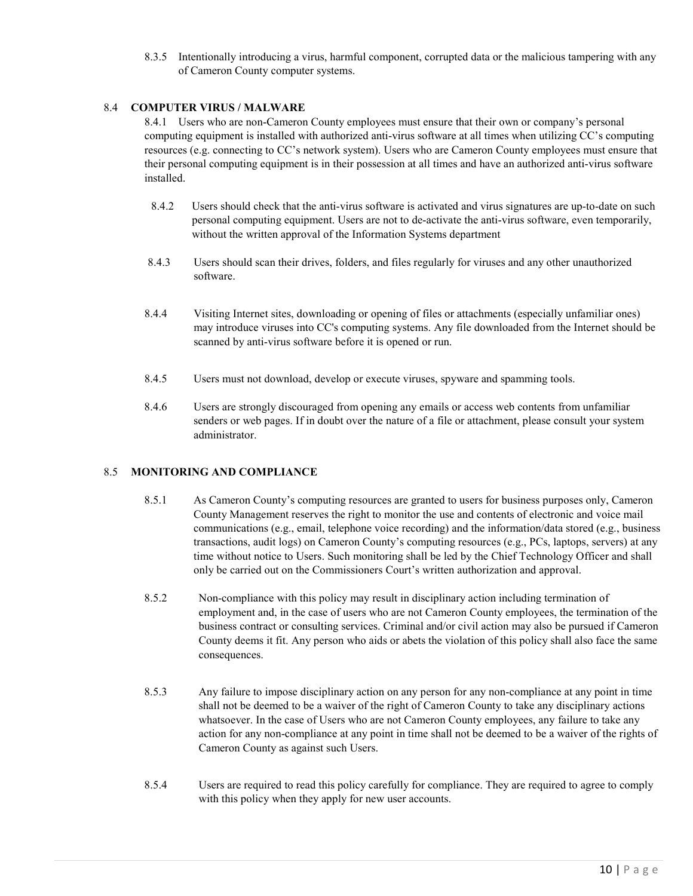8.3.5 Intentionally introducing a virus, harmful component, corrupted data or the malicious tampering with any of Cameron County computer systems.

#### 8.4 **COMPUTER VIRUS / MALWARE**

8.4.1 Users who are non-Cameron County employees must ensure that their own or company's personal computing equipment is installed with authorized anti-virus software at all times when utilizing CC's computing resources (e.g. connecting to CC's network system). Users who are Cameron County employees must ensure that their personal computing equipment is in their possession at all times and have an authorized anti-virus software installed.

- 8.4.2 Users should check that the anti-virus software is activated and virus signatures are up-to-date on such personal computing equipment. Users are not to de-activate the anti-virus software, even temporarily, without the written approval of the Information Systems department
- 8.4.3 Users should scan their drives, folders, and files regularly for viruses and any other unauthorized software.
- 8.4.4 Visiting Internet sites, downloading or opening of files or attachments (especially unfamiliar ones) may introduce viruses into CC's computing systems. Any file downloaded from the Internet should be scanned by anti-virus software before it is opened or run.
- 8.4.5 Users must not download, develop or execute viruses, spyware and spamming tools.
- 8.4.6 Users are strongly discouraged from opening any emails or access web contents from unfamiliar senders or web pages. If in doubt over the nature of a file or attachment, please consult your system administrator.

#### 8.5 **MONITORING AND COMPLIANCE**

- 8.5.1 As Cameron County's computing resources are granted to users for business purposes only, Cameron County Management reserves the right to monitor the use and contents of electronic and voice mail communications (e.g., email, telephone voice recording) and the information/data stored (e.g., business transactions, audit logs) on Cameron County's computing resources (e.g., PCs, laptops, servers) at any time without notice to Users. Such monitoring shall be led by the Chief Technology Officer and shall only be carried out on the Commissioners Court's written authorization and approval.
- 8.5.2 Non-compliance with this policy may result in disciplinary action including termination of employment and, in the case of users who are not Cameron County employees, the termination of the business contract or consulting services. Criminal and/or civil action may also be pursued if Cameron County deems it fit. Any person who aids or abets the violation of this policy shall also face the same consequences.
- 8.5.3 Any failure to impose disciplinary action on any person for any non-compliance at any point in time shall not be deemed to be a waiver of the right of Cameron County to take any disciplinary actions whatsoever. In the case of Users who are not Cameron County employees, any failure to take any action for any non-compliance at any point in time shall not be deemed to be a waiver of the rights of Cameron County as against such Users.
- 8.5.4 Users are required to read this policy carefully for compliance. They are required to agree to comply with this policy when they apply for new user accounts.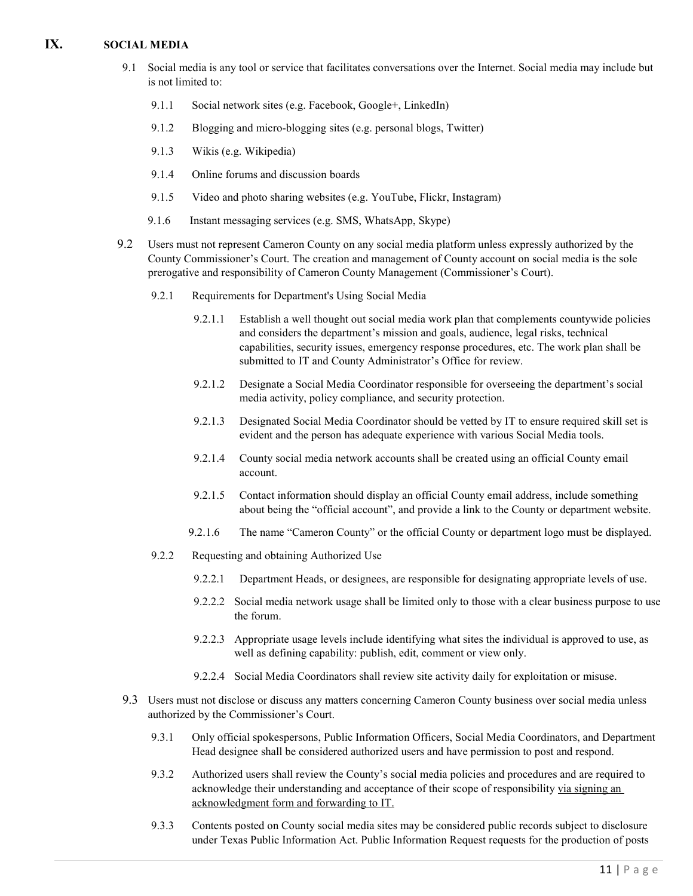#### <span id="page-12-0"></span>**IX. SOCIAL MEDIA**

- 9.1 Social media is any tool or service that facilitates conversations over the Internet. Social media may include but is not limited to:
	- 9.1.1 Social network sites (e.g. Facebook, Google+, LinkedIn)
	- 9.1.2 Blogging and micro-blogging sites (e.g. personal blogs, Twitter)
	- 9.1.3 Wikis (e.g. Wikipedia)
	- 9.1.4 Online forums and discussion boards
	- 9.1.5 Video and photo sharing websites (e.g. YouTube, Flickr, Instagram)
	- 9.1.6 Instant messaging services (e.g. SMS, WhatsApp, Skype)
- 9.2 Users must not represent Cameron County on any social media platform unless expressly authorized by the County Commissioner's Court. The creation and management of County account on social media is the sole prerogative and responsibility of Cameron County Management (Commissioner's Court).
	- 9.2.1 Requirements for Department's Using Social Media
		- 9.2.1.1 Establish a well thought out social media work plan that complements countywide policies and considers the department's mission and goals, audience, legal risks, technical capabilities, security issues, emergency response procedures, etc. The work plan shall be submitted to IT and County Administrator's Office for review.
		- 9.2.1.2 Designate a Social Media Coordinator responsible for overseeing the department's social media activity, policy compliance, and security protection.
		- 9.2.1.3 Designated Social Media Coordinator should be vetted by IT to ensure required skill set is evident and the person has adequate experience with various Social Media tools.
		- 9.2.1.4 County social media network accounts shall be created using an official County email account.
		- 9.2.1.5 Contact information should display an official County email address, include something about being the "official account", and provide a link to the County or department website.
		- 9.2.1.6 The name "Cameron County" or the official County or department logo must be displayed.
	- 9.2.2 Requesting and obtaining Authorized Use
		- 9.2.2.1 Department Heads, or designees, are responsible for designating appropriate levels of use.
		- 9.2.2.2 Social media network usage shall be limited only to those with a clear business purpose to use the forum.
		- 9.2.2.3 Appropriate usage levels include identifying what sites the individual is approved to use, as well as defining capability: publish, edit, comment or view only.
		- 9.2.2.4 Social Media Coordinators shall review site activity daily for exploitation or misuse.
- 9.3 Users must not disclose or discuss any matters concerning Cameron County business over social media unless authorized by the Commissioner's Court.
	- 9.3.1 Only official spokespersons, Public Information Officers, Social Media Coordinators, and Department Head designee shall be considered authorized users and have permission to post and respond.
	- 9.3.2 Authorized users shall review the County's social media policies and procedures and are required to acknowledge their understanding and acceptance of their scope of responsibility via signing an acknowledgment form and forwarding to IT.
	- 9.3.3 Contents posted on County social media sites may be considered public records subject to disclosure under Texas Public Information Act. Public Information Request requests for the production of posts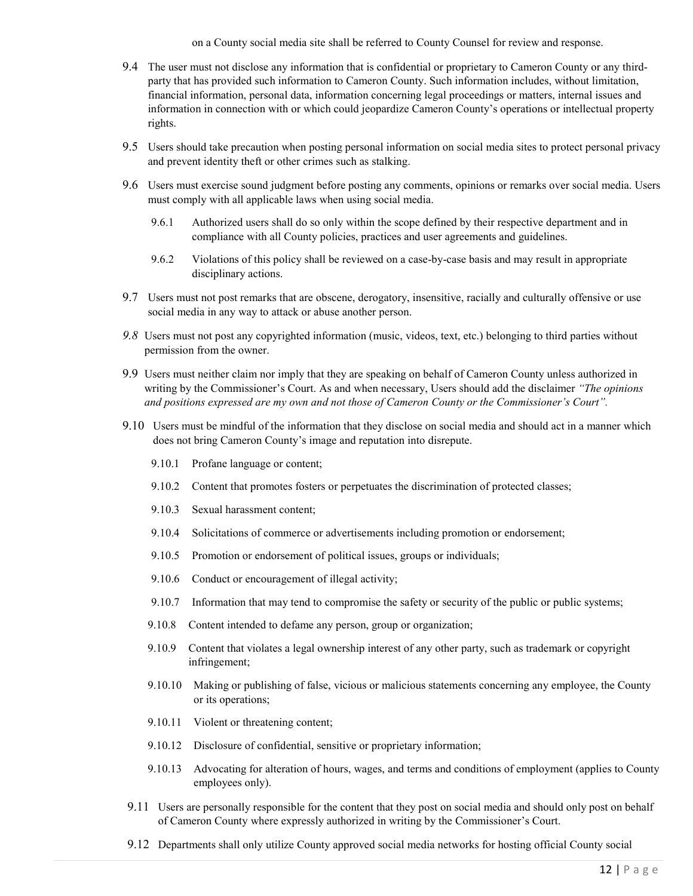on a County social media site shall be referred to County Counsel for review and response.

- 9.4 The user must not disclose any information that is confidential or proprietary to Cameron County or any thirdparty that has provided such information to Cameron County. Such information includes, without limitation, financial information, personal data, information concerning legal proceedings or matters, internal issues and information in connection with or which could jeopardize Cameron County's operations or intellectual property rights.
- 9.5 Users should take precaution when posting personal information on social media sites to protect personal privacy and prevent identity theft or other crimes such as stalking.
- 9.6 Users must exercise sound judgment before posting any comments, opinions or remarks over social media. Users must comply with all applicable laws when using social media.
	- 9.6.1 Authorized users shall do so only within the scope defined by their respective department and in compliance with all County policies, practices and user agreements and guidelines.
	- 9.6.2 Violations of this policy shall be reviewed on a case-by-case basis and may result in appropriate disciplinary actions.
- 9.7 Users must not post remarks that are obscene, derogatory, insensitive, racially and culturally offensive or use social media in any way to attack or abuse another person.
- *9.8* Users must not post any copyrighted information (music, videos, text, etc.) belonging to third parties without permission from the owner.
- 9.9 Users must neither claim nor imply that they are speaking on behalf of Cameron County unless authorized in writing by the Commissioner's Court. As and when necessary, Users should add the disclaimer *"The opinions and positions expressed are my own and not those of Cameron County or the Commissioner's Court".*
- 9.10 Users must be mindful of the information that they disclose on social media and should act in a manner which does not bring Cameron County's image and reputation into disrepute.
	- 9.10.1 Profane language or content;
	- 9.10.2 Content that promotes fosters or perpetuates the discrimination of protected classes;
	- 9.10.3 Sexual harassment content;
	- 9.10.4 Solicitations of commerce or advertisements including promotion or endorsement;
	- 9.10.5 Promotion or endorsement of political issues, groups or individuals;
	- 9.10.6 Conduct or encouragement of illegal activity;
	- 9.10.7 Information that may tend to compromise the safety or security of the public or public systems;
	- 9.10.8 Content intended to defame any person, group or organization;
	- 9.10.9 Content that violates a legal ownership interest of any other party, such as trademark or copyright infringement;
	- 9.10.10 Making or publishing of false, vicious or malicious statements concerning any employee, the County or its operations;
	- 9.10.11 Violent or threatening content;
	- 9.10.12 Disclosure of confidential, sensitive or proprietary information;
	- 9.10.13 Advocating for alteration of hours, wages, and terms and conditions of employment (applies to County employees only).
- 9.11 Users are personally responsible for the content that they post on social media and should only post on behalf of Cameron County where expressly authorized in writing by the Commissioner's Court.
- 9.12 Departments shall only utilize County approved social media networks for hosting official County social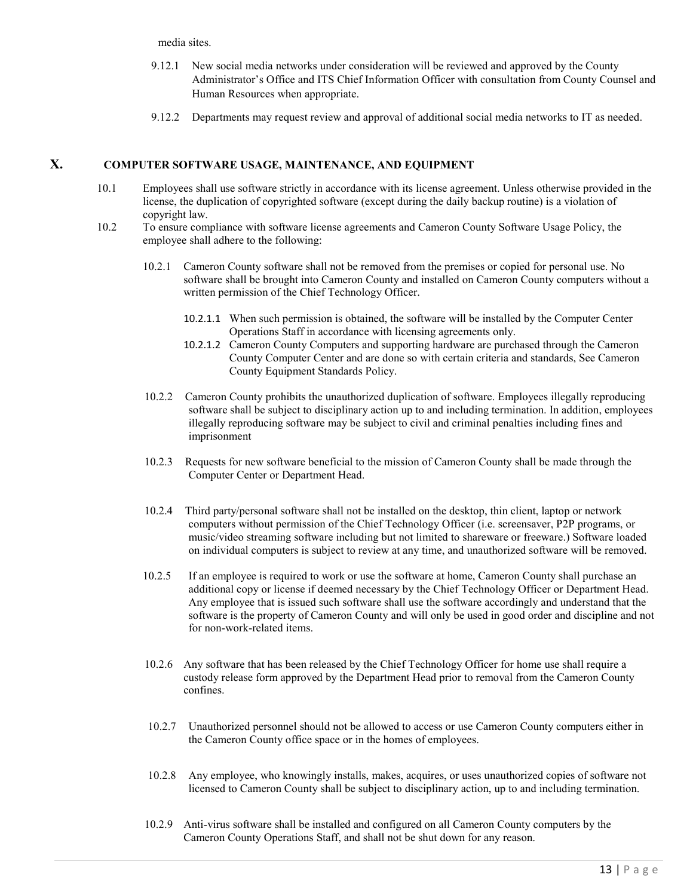media sites.

- 9.12.1 New social media networks under consideration will be reviewed and approved by the County Administrator's Office and ITS Chief Information Officer with consultation from County Counsel and Human Resources when appropriate.
- 9.12.2 Departments may request review and approval of additional social media networks to IT as needed.

#### <span id="page-14-0"></span>**X. COMPUTER SOFTWARE USAGE, MAINTENANCE, AND EQUIPMENT**

- 10.1 Employees shall use software strictly in accordance with its license agreement. Unless otherwise provided in the license, the duplication of copyrighted software (except during the daily backup routine) is a violation of copyright law.
- 10.2 To ensure compliance with software license agreements and Cameron County Software Usage Policy, the employee shall adhere to the following:
	- 10.2.1 Cameron County software shall not be removed from the premises or copied for personal use. No software shall be brought into Cameron County and installed on Cameron County computers without a written permission of the Chief Technology Officer.
		- 10.2.1.1 When such permission is obtained, the software will be installed by the Computer Center Operations Staff in accordance with licensing agreements only.
		- 10.2.1.2 Cameron County Computers and supporting hardware are purchased through the Cameron County Computer Center and are done so with certain criteria and standards, See Cameron County Equipment Standards Policy.
	- 10.2.2 Cameron County prohibits the unauthorized duplication of software. Employees illegally reproducing software shall be subject to disciplinary action up to and including termination. In addition, employees illegally reproducing software may be subject to civil and criminal penalties including fines and imprisonment
	- 10.2.3 Requests for new software beneficial to the mission of Cameron County shall be made through the Computer Center or Department Head.
	- 10.2.4 Third party/personal software shall not be installed on the desktop, thin client, laptop or network computers without permission of the Chief Technology Officer (i.e. screensaver, P2P programs, or music/video streaming software including but not limited to shareware or freeware.) Software loaded on individual computers is subject to review at any time, and unauthorized software will be removed.
	- 10.2.5 If an employee is required to work or use the software at home, Cameron County shall purchase an additional copy or license if deemed necessary by the Chief Technology Officer or Department Head. Any employee that is issued such software shall use the software accordingly and understand that the software is the property of Cameron County and will only be used in good order and discipline and not for non-work-related items.
	- 10.2.6 Any software that has been released by the Chief Technology Officer for home use shall require a custody release form approved by the Department Head prior to removal from the Cameron County confines.
	- 10.2.7 Unauthorized personnel should not be allowed to access or use Cameron County computers either in the Cameron County office space or in the homes of employees.
	- 10.2.8 Any employee, who knowingly installs, makes, acquires, or uses unauthorized copies of software not licensed to Cameron County shall be subject to disciplinary action, up to and including termination.
	- 10.2.9 Anti-virus software shall be installed and configured on all Cameron County computers by the Cameron County Operations Staff, and shall not be shut down for any reason.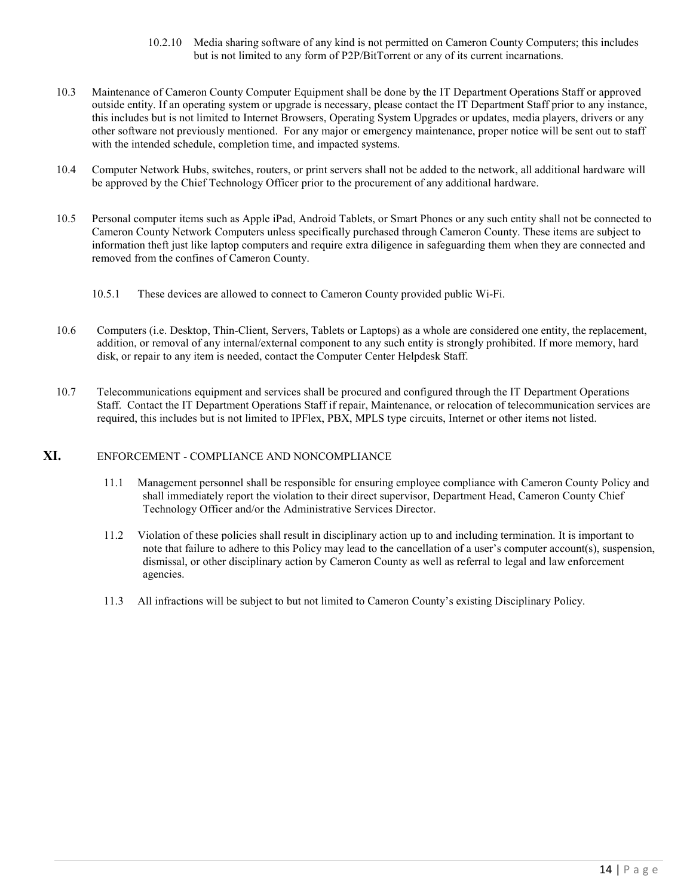#### 10.2.10 Media sharing software of any kind is not permitted on Cameron County Computers; this includes but is not limited to any form of P2P/BitTorrent or any of its current incarnations.

- 10.3 Maintenance of Cameron County Computer Equipment shall be done by the IT Department Operations Staff or approved outside entity. If an operating system or upgrade is necessary, please contact the IT Department Staff prior to any instance, this includes but is not limited to Internet Browsers, Operating System Upgrades or updates, media players, drivers or any other software not previously mentioned. For any major or emergency maintenance, proper notice will be sent out to staff with the intended schedule, completion time, and impacted systems.
- 10.4 Computer Network Hubs, switches, routers, or print servers shall not be added to the network, all additional hardware will be approved by the Chief Technology Officer prior to the procurement of any additional hardware.
- 10.5 Personal computer items such as Apple iPad, Android Tablets, or Smart Phones or any such entity shall not be connected to Cameron County Network Computers unless specifically purchased through Cameron County. These items are subject to information theft just like laptop computers and require extra diligence in safeguarding them when they are connected and removed from the confines of Cameron County.
	- 10.5.1 These devices are allowed to connect to Cameron County provided public Wi-Fi.
- 10.6 Computers (i.e. Desktop, Thin-Client, Servers, Tablets or Laptops) as a whole are considered one entity, the replacement, addition, or removal of any internal/external component to any such entity is strongly prohibited. If more memory, hard disk, or repair to any item is needed, contact the Computer Center Helpdesk Staff.
- 10.7 Telecommunications equipment and services shall be procured and configured through the IT Department Operations Staff. Contact the IT Department Operations Staff if repair, Maintenance, or relocation of telecommunication services are required, this includes but is not limited to IPFlex, PBX, MPLS type circuits, Internet or other items not listed.

#### **XI.** ENFORCEMENT - COMPLIANCE AND NONCOMPLIANCE

- 11.1 Management personnel shall be responsible for ensuring employee compliance with Cameron County Policy and shall immediately report the violation to their direct supervisor, Department Head, Cameron County Chief Technology Officer and/or the Administrative Services Director.
- 11.2 Violation of these policies shall result in disciplinary action up to and including termination. It is important to note that failure to adhere to this Policy may lead to the cancellation of a user's computer account(s), suspension, dismissal, or other disciplinary action by Cameron County as well as referral to legal and law enforcement agencies.
- 11.3 All infractions will be subject to but not limited to Cameron County's existing Disciplinary Policy.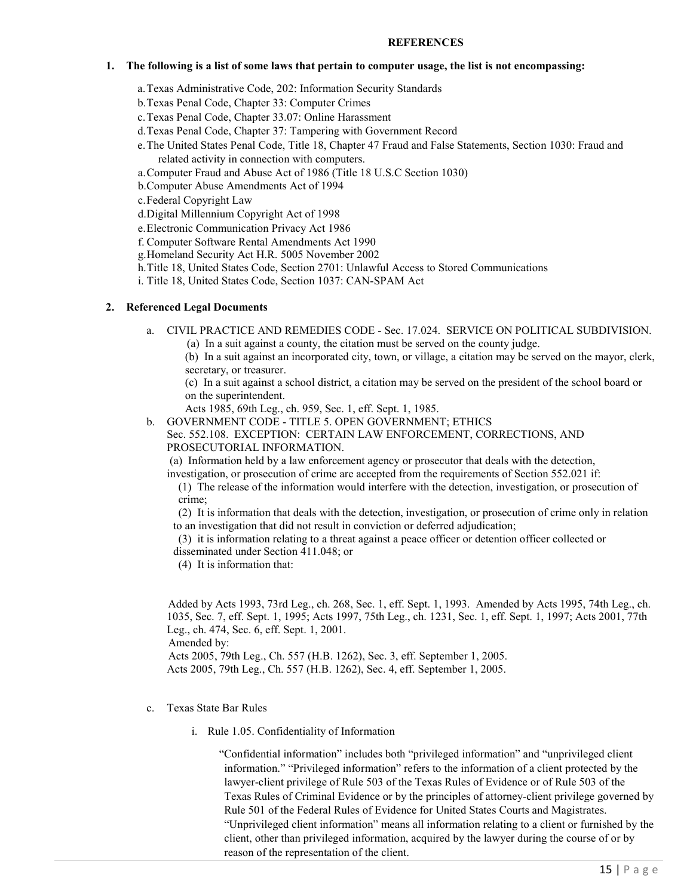#### **REFERENCES**

#### <span id="page-16-0"></span>**1. The following is a list of some laws that pertain to computer usage, the list is not encompassing:**

a.Texas Administrative Code, 202: Information Security Standards

b.Texas Penal Code, Chapter 33: Computer Crimes

c.Texas Penal Code, Chapter 33.07: Online Harassment

d.Texas Penal Code, Chapter 37: Tampering with Government Record

e.The United States Penal Code, Title 18, Chapter 47 Fraud and False Statements, Section 1030: Fraud and related activity in connection with computers.

a.Computer Fraud and Abuse Act of 1986 (Title 18 U.S.C Section 1030)

b.Computer Abuse Amendments Act of 1994

c.Federal Copyright Law

d.Digital Millennium Copyright Act of 1998

e.Electronic Communication Privacy Act 1986

f. Computer Software Rental Amendments Act 1990

g.Homeland Security Act H.R. 5005 November 2002

h.Title 18, United States Code, Section 2701: Unlawful Access to Stored Communications

i. Title 18, United States Code, Section 1037: CAN-SPAM Act

#### **2. Referenced Legal Documents**

#### a. CIVIL PRACTICE AND REMEDIES CODE - Sec. 17.024. SERVICE ON POLITICAL SUBDIVISION.

(a) In a suit against a county, the citation must be served on the county judge.

(b) In a suit against an incorporated city, town, or village, a citation may be served on the mayor, clerk, secretary, or treasurer.

(c) In a suit against a school district, a citation may be served on the president of the school board or on the superintendent.

- Acts 1985, 69th Leg., ch. 959, Sec. 1, eff. Sept. 1, 1985.
- b. GOVERNMENT CODE TITLE 5. OPEN GOVERNMENT; ETHICS Sec. 552.108. EXCEPTION: CERTAIN LAW ENFORCEMENT, CORRECTIONS, AND PROSECUTORIAL INFORMATION.

(a) Information held by a law enforcement agency or prosecutor that deals with the detection,

investigation, or prosecution of crime are accepted from the requirements of Section 552.021 if:

(1) The release of the information would interfere with the detection, investigation, or prosecution of crime;

(2) It is information that deals with the detection, investigation, or prosecution of crime only in relation to an investigation that did not result in conviction or deferred adjudication;

(3) it is information relating to a threat against a peace officer or detention officer collected or disseminated under Section 411.048; or

(4) It is information that:

Added by Acts 1993, 73rd Leg., ch. 268, Sec. 1, eff. Sept. 1, 1993. Amended by Acts 1995, 74th Leg., ch. 1035, Sec. 7, eff. Sept. 1, 1995; Acts 1997, 75th Leg., ch. 1231, Sec. 1, eff. Sept. 1, 1997; Acts 2001, 77th Leg., ch. 474, Sec. 6, eff. Sept. 1, 2001.

Amended by:

Acts 2005, 79th Leg., Ch. 557 (H.B. 1262), Sec. 3, eff. September 1, 2005. Acts 2005, 79th Leg., Ch. 557 (H.B. 1262), Sec. 4, eff. September 1, 2005.

c. Texas State Bar Rules

i. Rule 1.05. Confidentiality of Information

"Confidential information" includes both "privileged information" and "unprivileged client information." "Privileged information" refers to the information of a client protected by the lawyer-client privilege of Rule 503 of the Texas Rules of Evidence or of Rule 503 of the Texas Rules of Criminal Evidence or by the principles of attorney-client privilege governed by Rule 501 of the Federal Rules of Evidence for United States Courts and Magistrates. "Unprivileged client information" means all information relating to a client or furnished by the client, other than privileged information, acquired by the lawyer during the course of or by reason of the representation of the client.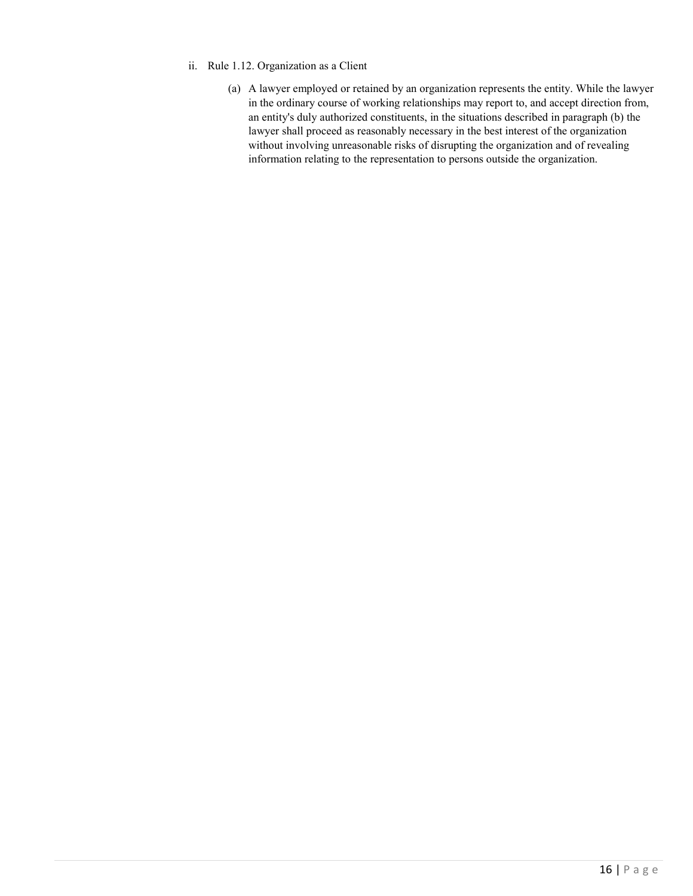- ii. Rule 1.12. Organization as a Client
	- (a) A lawyer employed or retained by an organization represents the entity. While the lawyer in the ordinary course of working relationships may report to, and accept direction from, an entity's duly authorized constituents, in the situations described in paragraph (b) the lawyer shall proceed as reasonably necessary in the best interest of the organization without involving unreasonable risks of disrupting the organization and of revealing information relating to the representation to persons outside the organization.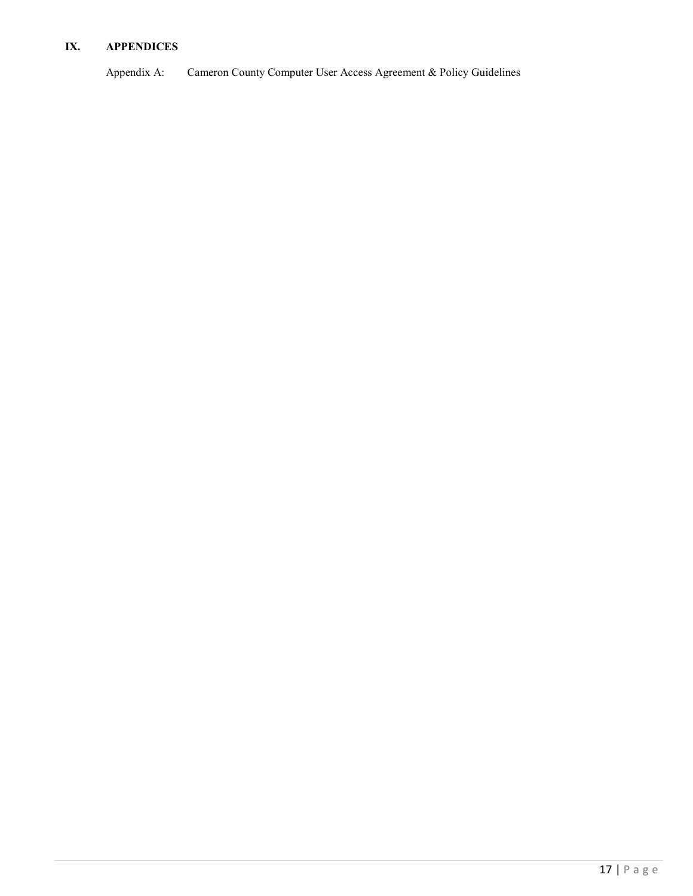### **IX. APPENDICES**

Appendix A: Cameron County Computer User Access Agreement & Policy Guidelines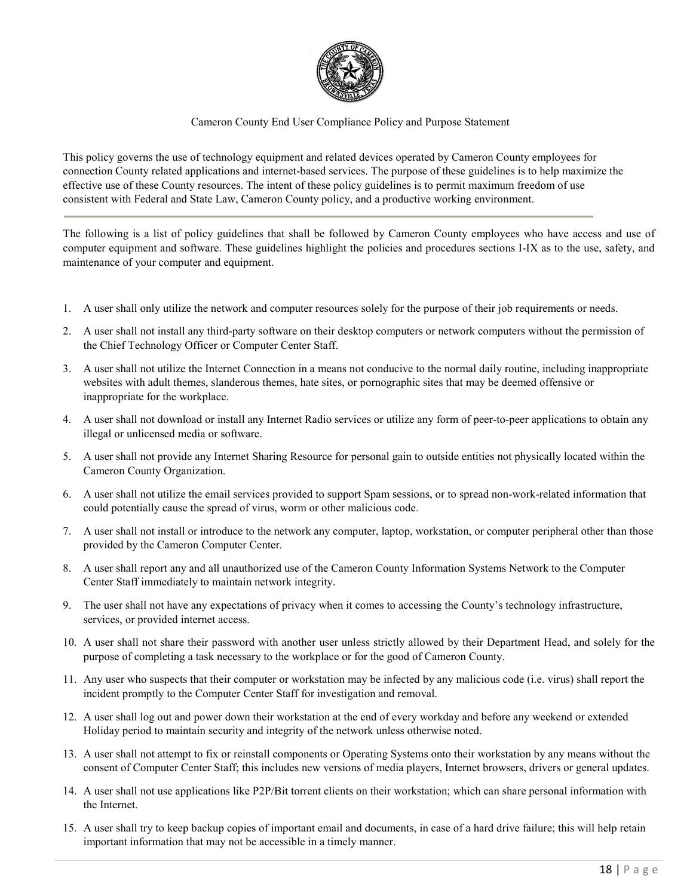

#### Cameron County End User Compliance Policy and Purpose Statement

This policy governs the use of technology equipment and related devices operated by Cameron County employees for connection County related applications and internet-based services. The purpose of these guidelines is to help maximize the effective use of these County resources. The intent of these policy guidelines is to permit maximum freedom of use consistent with Federal and State Law, Cameron County policy, and a productive working environment.

The following is a list of policy guidelines that shall be followed by Cameron County employees who have access and use of computer equipment and software. These guidelines highlight the policies and procedures sections I-IX as to the use, safety, and maintenance of your computer and equipment.

- 1. A user shall only utilize the network and computer resources solely for the purpose of their job requirements or needs.
- 2. A user shall not install any third-party software on their desktop computers or network computers without the permission of the Chief Technology Officer or Computer Center Staff.
- 3. A user shall not utilize the Internet Connection in a means not conducive to the normal daily routine, including inappropriate websites with adult themes, slanderous themes, hate sites, or pornographic sites that may be deemed offensive or inappropriate for the workplace.
- 4. A user shall not download or install any Internet Radio services or utilize any form of peer-to-peer applications to obtain any illegal or unlicensed media or software.
- 5. A user shall not provide any Internet Sharing Resource for personal gain to outside entities not physically located within the Cameron County Organization.
- 6. A user shall not utilize the email services provided to support Spam sessions, or to spread non-work-related information that could potentially cause the spread of virus, worm or other malicious code.
- 7. A user shall not install or introduce to the network any computer, laptop, workstation, or computer peripheral other than those provided by the Cameron Computer Center.
- 8. A user shall report any and all unauthorized use of the Cameron County Information Systems Network to the Computer Center Staff immediately to maintain network integrity.
- 9. The user shall not have any expectations of privacy when it comes to accessing the County's technology infrastructure, services, or provided internet access.
- 10. A user shall not share their password with another user unless strictly allowed by their Department Head, and solely for the purpose of completing a task necessary to the workplace or for the good of Cameron County.
- 11. Any user who suspects that their computer or workstation may be infected by any malicious code (i.e. virus) shall report the incident promptly to the Computer Center Staff for investigation and removal.
- 12. A user shall log out and power down their workstation at the end of every workday and before any weekend or extended Holiday period to maintain security and integrity of the network unless otherwise noted.
- 13. A user shall not attempt to fix or reinstall components or Operating Systems onto their workstation by any means without the consent of Computer Center Staff; this includes new versions of media players, Internet browsers, drivers or general updates.
- 14. A user shall not use applications like P2P/Bit torrent clients on their workstation; which can share personal information with the Internet.
- 15. A user shall try to keep backup copies of important email and documents, in case of a hard drive failure; this will help retain important information that may not be accessible in a timely manner.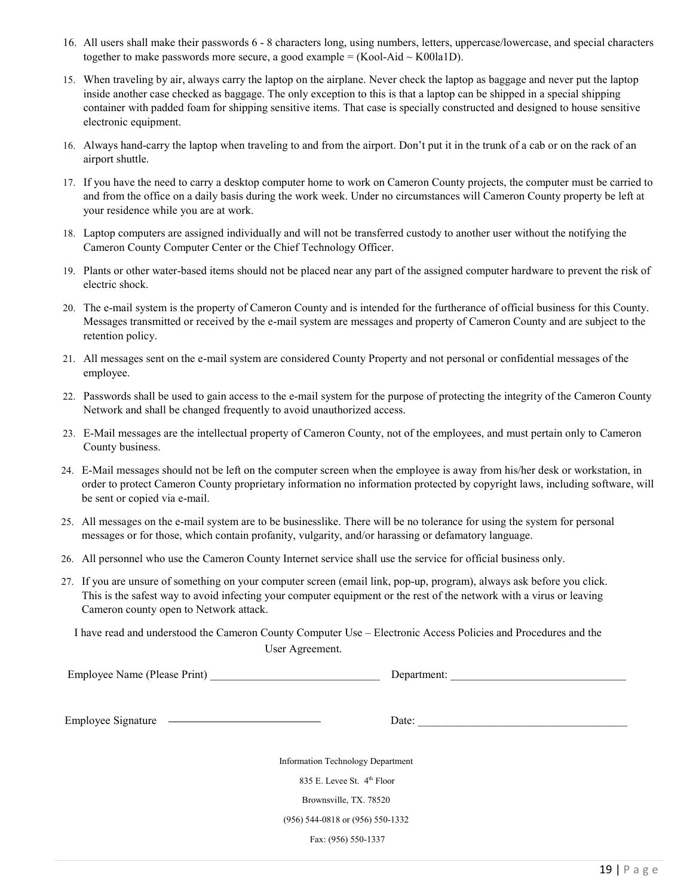- 16. All users shall make their passwords 6 8 characters long, using numbers, letters, uppercase/lowercase, and special characters together to make passwords more secure, a good example =  $(Kool-Aid \sim K00la1D)$ .
- 15. When traveling by air, always carry the laptop on the airplane. Never check the laptop as baggage and never put the laptop inside another case checked as baggage. The only exception to this is that a laptop can be shipped in a special shipping container with padded foam for shipping sensitive items. That case is specially constructed and designed to house sensitive electronic equipment.
- 16. Always hand-carry the laptop when traveling to and from the airport. Don't put it in the trunk of a cab or on the rack of an airport shuttle.
- 17. If you have the need to carry a desktop computer home to work on Cameron County projects, the computer must be carried to and from the office on a daily basis during the work week. Under no circumstances will Cameron County property be left at your residence while you are at work.
- 18. Laptop computers are assigned individually and will not be transferred custody to another user without the notifying the Cameron County Computer Center or the Chief Technology Officer.
- 19. Plants or other water-based items should not be placed near any part of the assigned computer hardware to prevent the risk of electric shock.
- 20. The e-mail system is the property of Cameron County and is intended for the furtherance of official business for this County. Messages transmitted or received by the e-mail system are messages and property of Cameron County and are subject to the retention policy.
- 21. All messages sent on the e-mail system are considered County Property and not personal or confidential messages of the employee.
- 22. Passwords shall be used to gain access to the e-mail system for the purpose of protecting the integrity of the Cameron County Network and shall be changed frequently to avoid unauthorized access.
- 23. E-Mail messages are the intellectual property of Cameron County, not of the employees, and must pertain only to Cameron County business.
- 24. E-Mail messages should not be left on the computer screen when the employee is away from his/her desk or workstation, in order to protect Cameron County proprietary information no information protected by copyright laws, including software, will be sent or copied via e-mail.
- 25. All messages on the e-mail system are to be businesslike. There will be no tolerance for using the system for personal messages or for those, which contain profanity, vulgarity, and/or harassing or defamatory language.
- 26. All personnel who use the Cameron County Internet service shall use the service for official business only.
- 27. If you are unsure of something on your computer screen (email link, pop-up, program), always ask before you click. This is the safest way to avoid infecting your computer equipment or the rest of the network with a virus or leaving Cameron county open to Network attack.

I have read and understood the Cameron County Computer Use – Electronic Access Policies and Procedures and the User Agreement.

| Employee Name (Please Print) |  |  |
|------------------------------|--|--|
|                              |  |  |

Employee Signature  $\overline{\phantom{a}}$ 

Employee Name (Please Print) \_\_\_\_\_\_\_\_\_\_\_\_\_\_\_\_\_\_\_\_\_\_\_\_\_\_\_\_\_\_ Department: \_\_\_\_\_\_\_\_\_\_\_\_\_\_\_\_\_\_\_\_\_\_\_\_\_\_\_\_\_\_\_

Information Technology Department

835 E. Levee St. 4<sup>th</sup> Floor

Brownsville, TX. 78520

|  | $(956)$ 544-0818 or $(956)$ 550-1332 |
|--|--------------------------------------|

Fax: (956) 550-1337